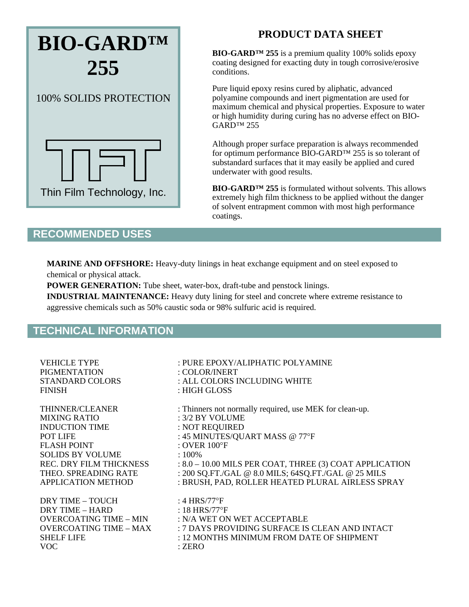

## **PRODUCT DATA SHEET**

**BIO-GARD™ 255** is a premium quality 100% solids epoxy coating designed for exacting duty in tough corrosive/erosive conditions.

Pure liquid epoxy resins cured by aliphatic, advanced polyamine compounds and inert pigmentation are used for maximum chemical and physical properties. Exposure to water or high humidity during curing has no adverse effect on BIO-GARD™ 255

Although proper surface preparation is always recommended for optimum performance BIO-GARD™ 255 is so tolerant of substandard surfaces that it may easily be applied and cured underwater with good results.

**BIO-GARD™ 255** is formulated without solvents. This allows extremely high film thickness to be applied without the danger of solvent entrapment common with most high performance coatings.

## **RECOMMENDED USES**

**MARINE AND OFFSHORE:** Heavy-duty linings in heat exchange equipment and on steel exposed to chemical or physical attack.

**POWER GENERATION:** Tube sheet, water-box, draft-tube and penstock linings.

**INDUSTRIAL MAINTENANCE:** Heavy duty lining for steel and concrete where extreme resistance to aggressive chemicals such as 50% caustic soda or 98% sulfuric acid is required.

## **TECHNICAL INFORMATION**

| <b>VEHICLE TYPE</b>           | : PURE EPOXY/ALIPHATIC POLYAMINE                          |
|-------------------------------|-----------------------------------------------------------|
| <b>PIGMENTATION</b>           | : COLOR/INERT                                             |
| <b>STANDARD COLORS</b>        | : ALL COLORS INCLUDING WHITE                              |
| <b>FINISH</b>                 | : HIGH GLOSS                                              |
| THINNER/CLEANER               | : Thinners not normally required, use MEK for clean-up.   |
| <b>MIXING RATIO</b>           | $: 3/2$ BY VOLUME                                         |
| <b>INDUCTION TIME</b>         | : NOT REQUIRED                                            |
| <b>POT LIFE</b>               | : 45 MINUTES/QUART MASS @ 77°F                            |
| FLASH POINT                   | : OVER $100^{\circ}$ F                                    |
| <b>SOLIDS BY VOLUME</b>       | $:100\%$                                                  |
| REC. DRY FILM THICKNESS       | $: 8.0 - 10.00$ MILS PER COAT, THREE (3) COAT APPLICATION |
| THEO. SPREADING RATE          | : 200 SQ.FT./GAL @ 8.0 MILS; 64SQ.FT./GAL @ 25 MILS       |
| <b>APPLICATION METHOD</b>     | : BRUSH, PAD, ROLLER HEATED PLURAL AIRLESS SPRAY          |
| <b>DRY TIME - TOUCH</b>       | : 4 HRS/77°F                                              |
| DRY TIME - HARD               | : 18 HRS/77 $\textdegree$ F                               |
| OVERCOATING TIME – MIN        | : N/A WET ON WET ACCEPTABLE                               |
| <b>OVERCOATING TIME - MAX</b> | : 7 DAYS PROVIDING SURFACE IS CLEAN AND INTACT            |
| <b>SHELF LIFE</b>             | : 12 MONTHS MINIMUM FROM DATE OF SHIPMENT                 |
| <b>VOC</b>                    | : ZERO                                                    |